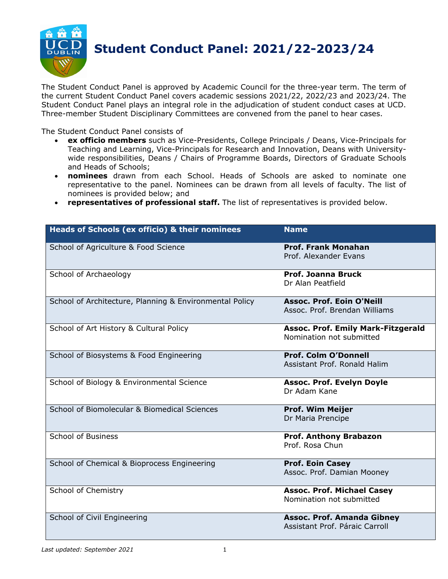

The Student Conduct Panel is approved by Academic Council for the three-year term. The term of the current Student Conduct Panel covers academic sessions 2021/22, 2022/23 and 2023/24. The Student Conduct Panel plays an integral role in the adjudication of student conduct cases at UCD. Three-member Student Disciplinary Committees are convened from the panel to hear cases.

The Student Conduct Panel consists of

- **ex officio members** such as Vice-Presidents, College Principals / Deans, Vice-Principals for Teaching and Learning, Vice-Principals for Research and Innovation, Deans with Universitywide responsibilities, Deans / Chairs of Programme Boards, Directors of Graduate Schools and Heads of Schools;
- **nominees** drawn from each School. Heads of Schools are asked to nominate one representative to the panel. Nominees can be drawn from all levels of faculty. The list of nominees is provided below; and
- **representatives of professional staff.** The list of representatives is provided below.

| Heads of Schools (ex officio) & their nominees          | <b>Name</b>                                                           |
|---------------------------------------------------------|-----------------------------------------------------------------------|
| School of Agriculture & Food Science                    | <b>Prof. Frank Monahan</b><br>Prof. Alexander Evans                   |
| School of Archaeology                                   | Prof. Joanna Bruck<br>Dr Alan Peatfield                               |
| School of Architecture, Planning & Environmental Policy | <b>Assoc. Prof. Eoin O'Neill</b><br>Assoc. Prof. Brendan Williams     |
| School of Art History & Cultural Policy                 | <b>Assoc. Prof. Emily Mark-Fitzgerald</b><br>Nomination not submitted |
| School of Biosystems & Food Engineering                 | <b>Prof. Colm O'Donnell</b><br>Assistant Prof. Ronald Halim           |
| School of Biology & Environmental Science               | <b>Assoc. Prof. Evelyn Doyle</b><br>Dr Adam Kane                      |
| School of Biomolecular & Biomedical Sciences            | <b>Prof. Wim Meijer</b><br>Dr Maria Prencipe                          |
| School of Business                                      | <b>Prof. Anthony Brabazon</b><br>Prof. Rosa Chun                      |
| School of Chemical & Bioprocess Engineering             | <b>Prof. Eoin Casey</b><br>Assoc. Prof. Damian Mooney                 |
| School of Chemistry                                     | <b>Assoc. Prof. Michael Casey</b><br>Nomination not submitted         |
| School of Civil Engineering                             | <b>Assoc. Prof. Amanda Gibney</b><br>Assistant Prof. Páraic Carroll   |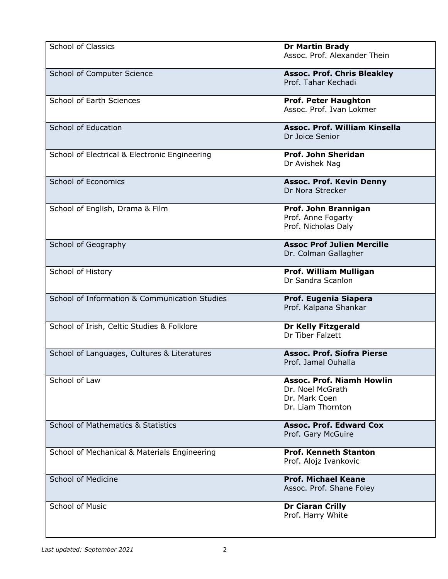| <b>School of Classics</b>                     | <b>Dr Martin Brady</b><br>Assoc. Prof. Alexander Thein                                     |
|-----------------------------------------------|--------------------------------------------------------------------------------------------|
| School of Computer Science                    | <b>Assoc. Prof. Chris Bleakley</b><br>Prof. Tahar Kechadi                                  |
| School of Earth Sciences                      | <b>Prof. Peter Haughton</b><br>Assoc. Prof. Ivan Lokmer                                    |
| School of Education                           | <b>Assoc. Prof. William Kinsella</b><br>Dr Joice Senior                                    |
| School of Electrical & Electronic Engineering | Prof. John Sheridan<br>Dr Avishek Nag                                                      |
| School of Economics                           | <b>Assoc. Prof. Kevin Denny</b><br>Dr Nora Strecker                                        |
| School of English, Drama & Film               | Prof. John Brannigan<br>Prof. Anne Fogarty<br>Prof. Nicholas Daly                          |
| School of Geography                           | <b>Assoc Prof Julien Mercille</b><br>Dr. Colman Gallagher                                  |
| School of History                             | Prof. William Mulligan<br>Dr Sandra Scanlon                                                |
| School of Information & Communication Studies | Prof. Eugenia Siapera<br>Prof. Kalpana Shankar                                             |
| School of Irish, Celtic Studies & Folklore    | <b>Dr Kelly Fitzgerald</b><br>Dr Tiber Falzett                                             |
| School of Languages, Cultures & Literatures   | <b>Assoc. Prof. Síofra Pierse</b><br>Prof. Jamal Ouhalla                                   |
| School of Law                                 | <b>Assoc. Prof. Niamh Howlin</b><br>Dr. Noel McGrath<br>Dr. Mark Coen<br>Dr. Liam Thornton |
| <b>School of Mathematics &amp; Statistics</b> | <b>Assoc. Prof. Edward Cox</b><br>Prof. Gary McGuire                                       |
| School of Mechanical & Materials Engineering  | <b>Prof. Kenneth Stanton</b><br>Prof. Alojz Ivankovic                                      |
| <b>School of Medicine</b>                     | <b>Prof. Michael Keane</b><br>Assoc. Prof. Shane Foley                                     |
| <b>School of Music</b>                        | <b>Dr Ciaran Crilly</b><br>Prof. Harry White                                               |